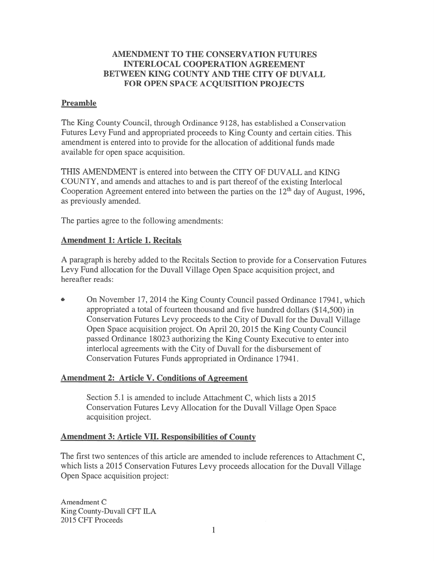# AMENDMENT TO THE CONSERVATION FUTURES INTERLOCAL COOPERATION AGREEMENT BETWEEN KING COUNTY AND THE CITY OF DUVALL FOR OPEN SPACE ACQUISITION PROJECTS

#### Preamble

The King County Council, through Ordinance 9128, has established <sup>a</sup> Conservation Futures Levy Fund and appropriated proceeds to King County and certain cities. This amendment is entered into to provide for the allocation of additional funds made available for open space acquisition.

THIS AMENDMENT is entered into between the CITY OF DUVALL and KING COUNTY, and amends and attaches to and is par<sup>t</sup> thereof of the existing Interlocal Cooperation Agreement entered into between the parties on the  $12<sup>th</sup>$  day of August, 1996, as previously amended.

The parties agree to the following amendments:

## Amendment 1: Article 1. Recitals

A paragraph is hereby added to the Recitals Section to provide for <sup>a</sup> Conservation Futures Levy Fund allocation for the Duvall Village Open Space acquisition project, and hereafter reads:

. On November 17, 2014 the King County Council passed Ordinance 17941, which appropriated <sup>a</sup> total of fourteen thousand and five hundred dollars (\$ 14,500) in Conservation Futures Levy proceeds to the City of Duvall for the Duvall Village Open Space acquisition project. On April 20, 2015 the King County Council passed Ordinance 18023 authorizing the King County Executive to enter into interlocal agreements with the City of Duvall for the disbursement of Conservation Futures Funds appropriated in Ordinance 17941.

## Amendment 2: Article V. Conditions of Agreement

Section 5.1 is amended to include Attachment C, which lists a 2015 Conservation Futures Levy Allocation for the Duvall Village Open Space acquisition project.

## Amendment 3: Article VII. Responsibilities of County

The first two sentences of this article are amended to include references to Attachment C, which lists <sup>a</sup> <sup>2015</sup> Conservation Futures Levy proceeds allocation for the Duvall Village Open Space acquisition project:

Amendment C King County-Duvall CFT ILA 2015 CFT Proceeds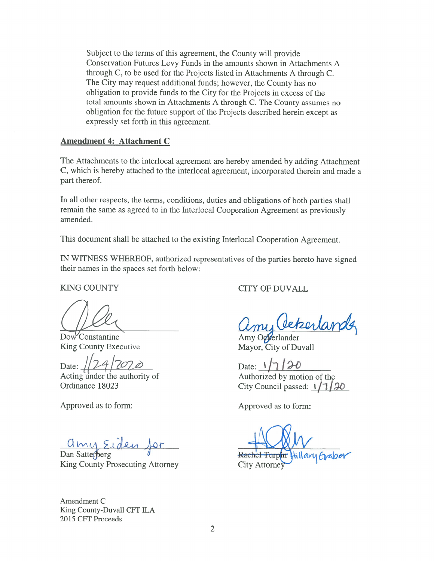Subject to the terms of this agreement, the County will provide Conservation Futures Levy Funds in the amounts shown in Attachments A through C, to be used for the Projects listed in Attachments <sup>A</sup> through C. The City may reques<sup>t</sup> additional funds; however, the County has no obligation to provide funds to the City for the Projects in excess of the total amounts shown in Attachments <sup>A</sup> through C. The County assumes no obligation for the future suppor<sup>t</sup> of the Projects described herein excep<sup>t</sup> as expressly set forth in this agreement.

#### Amendment 4: Attachment C

The Attachments to the interlocal agreemen<sup>t</sup> are hereby amended by adding Attachment C, which is hereby attached to the interlocal agreement, incorporated therein and made <sup>a</sup> par<sup>t</sup> thereof.

In all other respects, the terms, conditions, duties and obligations of both parties shall remain the same as agree<sup>d</sup> to in the Interlocal Cooperation Agreement as previously amended.

This document shall be attached to the existing Interlocal Cooperation Agreement.

IN WITNESS WHEREOF, authorized representatives of the parties hereto have signed their names in the spaces set forth below:

Dow Constantine Amy Octerlander King County Executive Mayor, City of Duvall

Date:  $\sqrt{7/20}$  Date:  $\sqrt{7/20}$ <br>Acting under the authority of Authorized by mot

Approved as to form: Approved as to form:

King County Prosecuting Attorney City Attorne

Amendment C King County-Duvall CFT ILA 2015 CFT Proceeds

KING COUNTY CITY OF DUVALL

, Cekerlan

Authorized by motion of the Ordinance 18023 City Council passed:  $1/7/20$ 

<u>amy Eiden</u> for<br>Dan Satterberg et al. Rachel Turphin Hillar